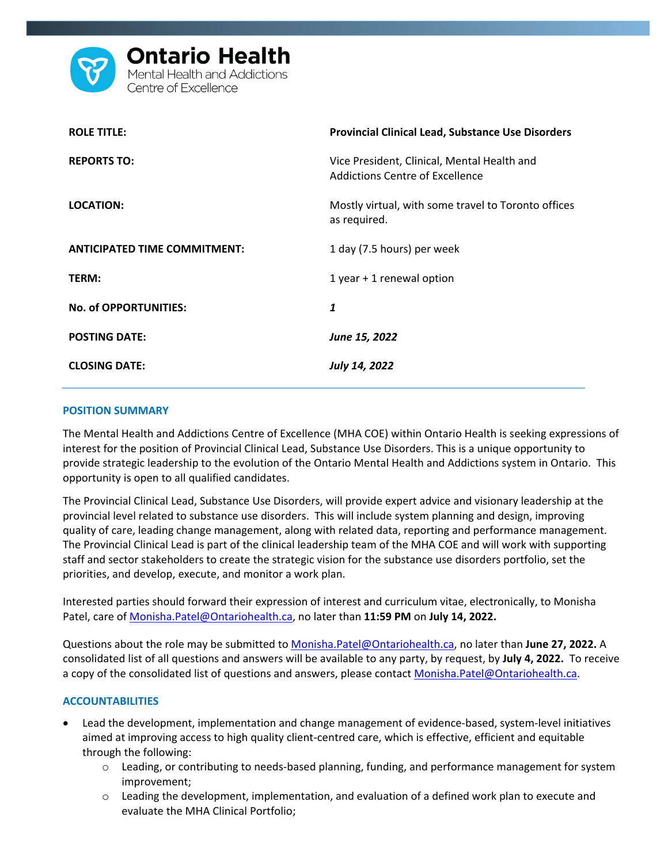

| <b>ROLE TITLE:</b>                  | <b>Provincial Clinical Lead, Substance Use Disorders</b>                       |
|-------------------------------------|--------------------------------------------------------------------------------|
| <b>REPORTS TO:</b>                  | Vice President, Clinical, Mental Health and<br>Addictions Centre of Excellence |
| LOCATION:                           | Mostly virtual, with some travel to Toronto offices<br>as required.            |
| <b>ANTICIPATED TIME COMMITMENT:</b> | 1 day (7.5 hours) per week                                                     |
| TERM:                               | 1 year + 1 renewal option                                                      |
| <b>No. of OPPORTUNITIES:</b>        | 1                                                                              |
| <b>POSTING DATE:</b>                | June 15, 2022                                                                  |
| <b>CLOSING DATE:</b>                | July 14, 2022                                                                  |

### **POSITION SUMMARY**

The Mental Health and Addictions Centre of Excellence (MHA COE) within Ontario Health is seeking expressions of interest for the position of Provincial Clinical Lead, Substance Use Disorders. This is a unique opportunity to provide strategic leadership to the evolution of the Ontario Mental Health and Addictions system in Ontario. This opportunity is open to all qualified candidates.

The Provincial Clinical Lead, Substance Use Disorders, will provide expert advice and visionary leadership at the provincial level related to substance use disorders. This will include system planning and design, improving quality of care, leading change management, along with related data, reporting and performance management. The Provincial Clinical Lead is part of the clinical leadership team of the MHA COE and will work with supporting staff and sector stakeholders to create the strategic vision for the substance use disorders portfolio, set the priorities, and develop, execute, and monitor a work plan.

Interested parties should forward their expression of interest and curriculum vitae, electronically, to Monisha Patel, care of [Monisha.Patel@Ontariohealth.ca,](mailto:Monisha.Patel@Ontariohealth.ca) no later than **11:59 PM** on **July 14, 2022.** 

Questions about the role may be submitted to [Monisha.Patel@Ontariohealth.ca,](mailto:Monisha.Patel@Ontariohealth.ca) no later than **June 27, 2022.** A consolidated list of all questions and answers will be available to any party, by request, by **July 4, 2022.** To receive a copy of the consolidated list of questions and answers, please contac[t Monisha.Patel@Ontariohealth.ca.](mailto:Monisha.Patel@Ontariohealth.ca)

## **ACCOUNTABILITIES**

- Lead the development, implementation and change management of evidence-based, system-level initiatives aimed at improving access to high quality client-centred care, which is effective, efficient and equitable through the following:
	- o Leading, or contributing to needs-based planning, funding, and performance management for system improvement;
	- $\circ$  Leading the development, implementation, and evaluation of a defined work plan to execute and evaluate the MHA Clinical Portfolio;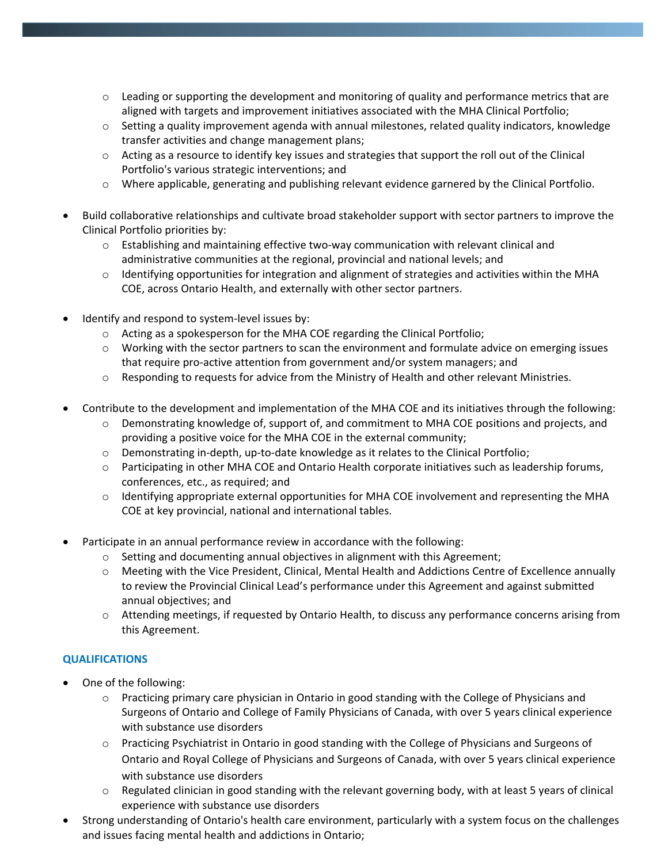- $\circ$  Leading or supporting the development and monitoring of quality and performance metrics that are aligned with targets and improvement initiatives associated with the MHA Clinical Portfolio;
- o Setting a quality improvement agenda with annual milestones, related quality indicators, knowledge transfer activities and change management plans;
- $\circ$  Acting as a resource to identify key issues and strategies that support the roll out of the Clinical Portfolio's various strategic interventions; and
- o Where applicable, generating and publishing relevant evidence garnered by the Clinical Portfolio.
- Build collaborative relationships and cultivate broad stakeholder support with sector partners to improve the Clinical Portfolio priorities by:
	- $\circ$  Establishing and maintaining effective two-way communication with relevant clinical and administrative communities at the regional, provincial and national levels; and
	- $\circ$  Identifying opportunities for integration and alignment of strategies and activities within the MHA COE, across Ontario Health, and externally with other sector partners.
- Identify and respond to system-level issues by:
	- $\circ$  Acting as a spokesperson for the MHA COE regarding the Clinical Portfolio;
	- $\circ$  Working with the sector partners to scan the environment and formulate advice on emerging issues that require pro-active attention from government and/or system managers; and
	- o Responding to requests for advice from the Ministry of Health and other relevant Ministries.
- Contribute to the development and implementation of the MHA COE and its initiatives through the following:
	- o Demonstrating knowledge of, support of, and commitment to MHA COE positions and projects, and providing a positive voice for the MHA COE in the external community;
	- o Demonstrating in-depth, up-to-date knowledge as it relates to the Clinical Portfolio;
	- o Participating in other MHA COE and Ontario Health corporate initiatives such as leadership forums, conferences, etc., as required; and
	- o Identifying appropriate external opportunities for MHA COE involvement and representing the MHA COE at key provincial, national and international tables.
- Participate in an annual performance review in accordance with the following:
	- o Setting and documenting annual objectives in alignment with this Agreement;
	- o Meeting with the Vice President, Clinical, Mental Health and Addictions Centre of Excellence annually to review the Provincial Clinical Lead's performance under this Agreement and against submitted annual objectives; and
	- o Attending meetings, if requested by Ontario Health, to discuss any performance concerns arising from this Agreement.

# **QUALIFICATIONS**

- One of the following:
	- $\circ$  Practicing primary care physician in Ontario in good standing with the College of Physicians and Surgeons of Ontario and College of Family Physicians of Canada, with over 5 years clinical experience with substance use disorders
	- o Practicing Psychiatrist in Ontario in good standing with the College of Physicians and Surgeons of Ontario and Royal College of Physicians and Surgeons of Canada, with over 5 years clinical experience with substance use disorders
	- o Regulated clinician in good standing with the relevant governing body, with at least 5 years of clinical experience with substance use disorders
- Strong understanding of Ontario's health care environment, particularly with a system focus on the challenges and issues facing mental health and addictions in Ontario;